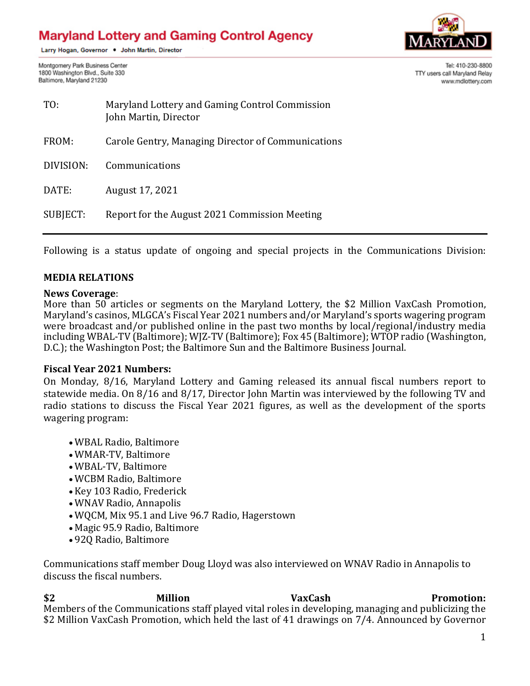# **Maryland Lottery and Gaming Control Agency**

Larry Hogan, Governor . John Martin, Director

Montgomery Park Business Center 1800 Washington Blvd., Suite 330 Baltimore, Maryland 21230



Tel: 410-230-8800 TTY users call Maryland Relay www.mdlottery.com

| TO:       | Maryland Lottery and Gaming Control Commission<br>John Martin, Director |
|-----------|-------------------------------------------------------------------------|
| FROM:     | Carole Gentry, Managing Director of Communications                      |
| DIVISION: | Communications                                                          |
| DATE:     | August 17, 2021                                                         |
| SUBJECT:  | Report for the August 2021 Commission Meeting                           |

Following is a status update of ongoing and special projects in the Communications Division:

# **MEDIA RELATIONS**

#### **News Coverage**:

More than 50 articles or segments on the Maryland Lottery, the \$2 Million VaxCash Promotion, Maryland's casinos, MLGCA's Fiscal Year 2021 numbers and/or Maryland's sports wagering program were broadcast and/or published online in the past two months by local/regional/industry media including WBAL-TV (Baltimore); WJZ-TV (Baltimore); Fox 45 (Baltimore); WTOP radio (Washington, D.C.); the Washington Post; the Baltimore Sun and the Baltimore Business Journal.

# **Fiscal Year 2021 Numbers:**

On Monday, 8/16, Maryland Lottery and Gaming released its annual fiscal numbers report to statewide media. On 8/16 and 8/17, Director John Martin was interviewed by the following TV and radio stations to discuss the Fiscal Year 2021 figures, as well as the development of the sports wagering program:

- WBAL Radio, Baltimore
- WMAR-TV, Baltimore
- WBAL-TV, Baltimore
- WCBM Radio, Baltimore
- Key 103 Radio, Frederick
- WNAV Radio, Annapolis
- WQCM, Mix 95.1 and Live 96.7 Radio, Hagerstown
- Magic 95.9 Radio, Baltimore
- 92Q Radio, Baltimore

Communications staff member Doug Lloyd was also interviewed on WNAV Radio in Annapolis to discuss the fiscal numbers.

**\$2 Million VaxCash Promotion:** Members of the Communications staff played vital roles in developing, managing and publicizing the \$2 Million VaxCash Promotion, which held the last of 41 drawings on 7/4. Announced by Governor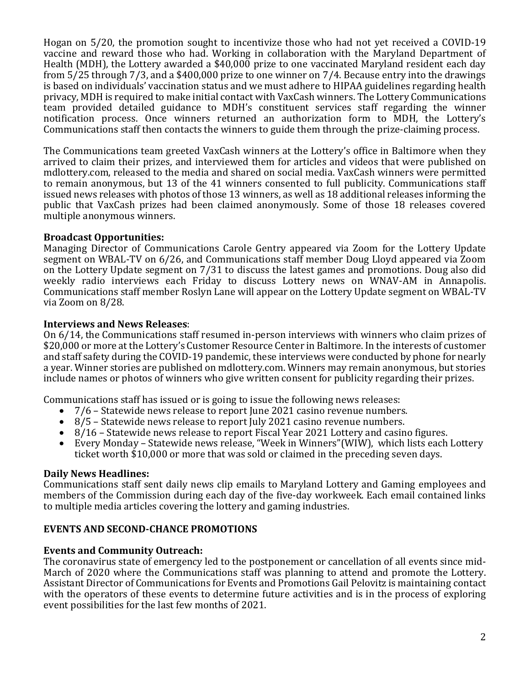Hogan on 5/20, the promotion sought to incentivize those who had not yet received a COVID-19 vaccine and reward those who had. Working in collaboration with the Maryland Department of Health (MDH), the Lottery awarded a \$40,000 prize to one vaccinated Maryland resident each day from 5/25 through 7/3, and a \$400,000 prize to one winner on 7/4. Because entry into the drawings is based on individuals' vaccination status and we must adhere to HIPAA guidelines regarding health privacy, MDH is required to make initial contact with VaxCash winners. The Lottery Communications team provided detailed guidance to MDH's constituent services staff regarding the winner notification process. Once winners returned an authorization form to MDH, the Lottery's Communications staff then contacts the winners to guide them through the prize-claiming process.

The Communications team greeted VaxCash winners at the Lottery's office in Baltimore when they arrived to claim their prizes, and interviewed them for articles and videos that were published on mdlottery.com, released to the media and shared on social media. VaxCash winners were permitted to remain anonymous, but 13 of the 41 winners consented to full publicity. Communications staff issued news releases with photos of those 13 winners, as well as 18 additional releases informing the public that VaxCash prizes had been claimed anonymously. Some of those 18 releases covered multiple anonymous winners.

# **Broadcast Opportunities:**

Managing Director of Communications Carole Gentry appeared via Zoom for the Lottery Update segment on WBAL-TV on 6/26, and Communications staff member Doug Lloyd appeared via Zoom on the Lottery Update segment on 7/31 to discuss the latest games and promotions. Doug also did weekly radio interviews each Friday to discuss Lottery news on WNAV-AM in Annapolis. Communications staff member Roslyn Lane will appear on the Lottery Update segment on WBAL-TV via Zoom on 8/28.

# **Interviews and News Releases**:

On 6/14, the Communications staff resumed in-person interviews with winners who claim prizes of \$20,000 or more at the Lottery's Customer Resource Center in Baltimore. In the interests of customer and staff safety during the COVID-19 pandemic, these interviews were conducted by phone for nearly a year. Winner stories are published on mdlottery.com. Winners may remain anonymous, but stories include names or photos of winners who give written consent for publicity regarding their prizes.

Communications staff has issued or is going to issue the following news releases:

- 7/6 Statewide news release to report June 2021 casino revenue numbers.
- 8/5 Statewide news release to report July 2021 casino revenue numbers.
- 8/16 Statewide news release to report Fiscal Year 2021 Lottery and casino figures.
- Every Monday Statewide news release, "Week in Winners"(WIW), which lists each Lottery ticket worth \$10,000 or more that was sold or claimed in the preceding seven days.

# **Daily News Headlines:**

Communications staff sent daily news clip emails to Maryland Lottery and Gaming employees and members of the Commission during each day of the five-day workweek. Each email contained links to multiple media articles covering the lottery and gaming industries.

# **EVENTS AND SECOND-CHANCE PROMOTIONS**

# **Events and Community Outreach:**

The coronavirus state of emergency led to the postponement or cancellation of all events since mid-March of 2020 where the Communications staff was planning to attend and promote the Lottery. Assistant Director of Communications for Events and Promotions Gail Pelovitz is maintaining contact with the operators of these events to determine future activities and is in the process of exploring event possibilities for the last few months of 2021.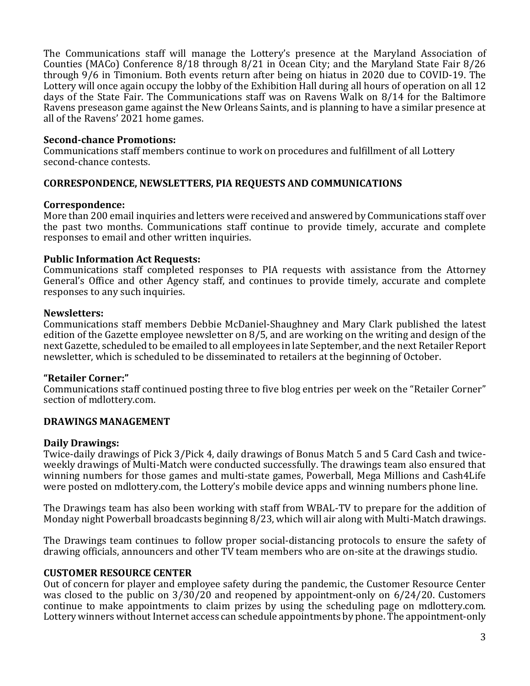The Communications staff will manage the Lottery's presence at the Maryland Association of Counties (MACo) Conference 8/18 through 8/21 in Ocean City; and the Maryland State Fair 8/26 through 9/6 in Timonium. Both events return after being on hiatus in 2020 due to COVID-19. The Lottery will once again occupy the lobby of the Exhibition Hall during all hours of operation on all 12 days of the State Fair. The Communications staff was on Ravens Walk on 8/14 for the Baltimore Ravens preseason game against the New Orleans Saints, and is planning to have a similar presence at all of the Ravens' 2021 home games.

# **Second-chance Promotions:**

Communications staff members continue to work on procedures and fulfillment of all Lottery second-chance contests.

# **CORRESPONDENCE, NEWSLETTERS, PIA REQUESTS AND COMMUNICATIONS**

#### **Correspondence:**

More than 200 email inquiries and letters were received and answered by Communications staff over the past two months. Communications staff continue to provide timely, accurate and complete responses to email and other written inquiries.

#### **Public Information Act Requests:**

Communications staff completed responses to PIA requests with assistance from the Attorney General's Office and other Agency staff, and continues to provide timely, accurate and complete responses to any such inquiries.

#### **Newsletters:**

Communications staff members Debbie McDaniel-Shaughney and Mary Clark published the latest edition of the Gazette employee newsletter on 8/5, and are working on the writing and design of the next Gazette, scheduled to be emailed to all employees in late September, and the next Retailer Report newsletter, which is scheduled to be disseminated to retailers at the beginning of October.

# **"Retailer Corner:"**

Communications staff continued posting three to five blog entries per week on the "Retailer Corner" section of mdlottery.com.

# **DRAWINGS MANAGEMENT**

# **Daily Drawings:**

Twice-daily drawings of Pick 3/Pick 4, daily drawings of Bonus Match 5 and 5 Card Cash and twiceweekly drawings of Multi-Match were conducted successfully. The drawings team also ensured that winning numbers for those games and multi-state games, Powerball, Mega Millions and Cash4Life were posted on mdlottery.com, the Lottery's mobile device apps and winning numbers phone line.

The Drawings team has also been working with staff from WBAL-TV to prepare for the addition of Monday night Powerball broadcasts beginning 8/23, which will air along with Multi-Match drawings.

The Drawings team continues to follow proper social-distancing protocols to ensure the safety of drawing officials, announcers and other TV team members who are on-site at the drawings studio.

# **CUSTOMER RESOURCE CENTER**

Out of concern for player and employee safety during the pandemic, the Customer Resource Center was closed to the public on 3/30/20 and reopened by appointment-only on 6/24/20. Customers continue to make appointments to claim prizes by using the scheduling page on mdlottery.com. Lottery winners without Internet access can schedule appointments by phone. The appointment-only